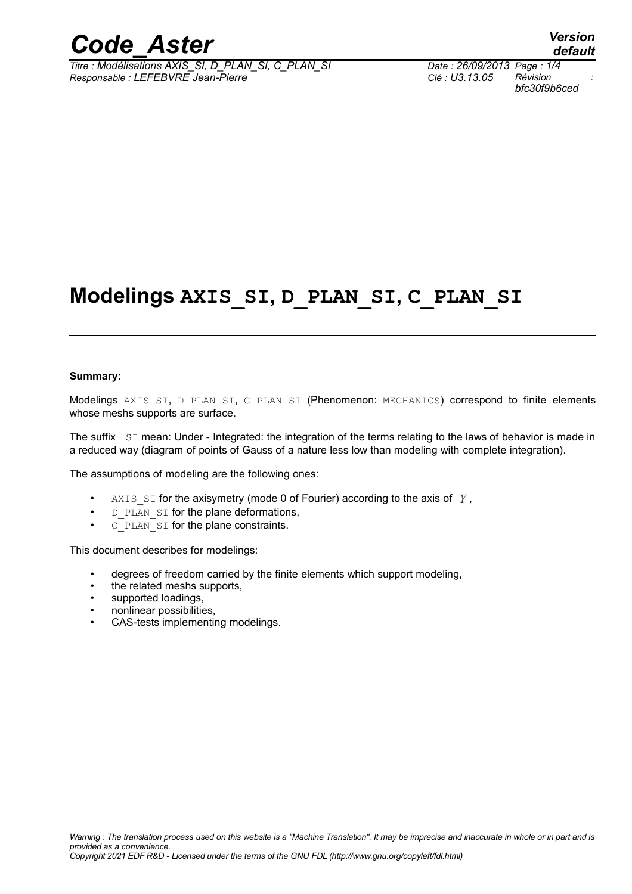

*Titre : Modélisations AXIS\_SI, D\_PLAN\_SI, C\_PLAN\_SI Date : 26/09/2013 Page : 1/4 Responsable : LEFEBVRE Jean-Pierre Clé : U3.13.05 Révision :*

# **Modelings AXIS\_SI, D\_PLAN\_SI, C\_PLAN\_SI**

#### **Summary:**

Modelings AXIS SI, D\_PLAN\_SI, C\_PLAN\_SI (Phenomenon: MECHANICS) correspond to finite elements whose meshs supports are surface.

The suffix  $SI$  mean: Under - Integrated: the integration of the terms relating to the laws of behavior is made in a reduced way (diagram of points of Gauss of a nature less low than modeling with complete integration).

The assumptions of modeling are the following ones:

- AXIS SI for the axisymetry (mode 0 of Fourier) according to the axis of  $\gamma$ ,
- D\_PLAN\_SI for the plane deformations,
- C\_PLAN\_SI for the plane constraints.

This document describes for modelings:

- degrees of freedom carried by the finite elements which support modeling,
- the related meshs supports,
- supported loadings,
- nonlinear possibilities,
- CAS-tests implementing modelings.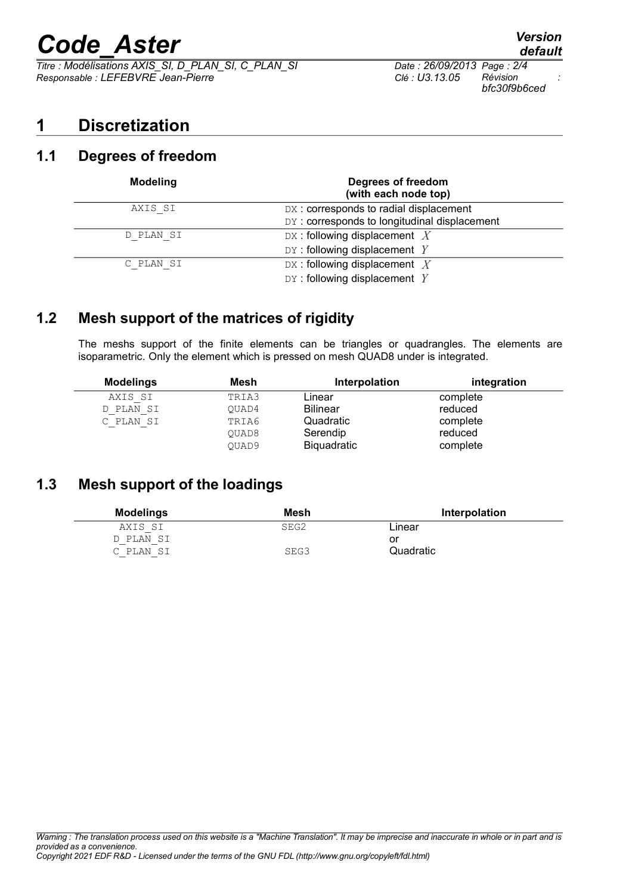# *Code\_Aster Version*

*Titre : Modélisations AXIS\_SI, D\_PLAN\_SI, C\_PLAN\_SI Date : 26/09/2013 Page : 2/4 Responsable : LEFEBVRE Jean-Pierre Clé : U3.13.05 Révision :*

## **1 Discretization**

### **1.1 Degrees of freedom**

| <b>Modeling</b> | Degrees of freedom<br>(with each node top)   |
|-----------------|----------------------------------------------|
| AXIS SI         | DX: corresponds to radial displacement       |
|                 | DY: corresponds to longitudinal displacement |
| D PLAN SI       | DX: following displacement $X$               |
|                 | $DY:$ following displacement $Y$             |
| C PLAN SI       | DX: following displacement $X$               |
|                 | $DY:$ following displacement $Y$             |

## **1.2 Mesh support of the matrices of rigidity**

The meshs support of the finite elements can be triangles or quadrangles. The elements are isoparametric. Only the element which is pressed on mesh QUAD8 under is integrated.

| <b>Modelings</b> | Mesh  | Interpolation      | integration |
|------------------|-------|--------------------|-------------|
| AXIS SI          | TRIA3 | Linear             | complete    |
| D PLAN SI        | OUAD4 | Bilinear           | reduced     |
| C PLAN SI        | TRIA6 | Quadratic          | complete    |
|                  | OUAD8 | Serendip           | reduced     |
|                  | OUAD9 | <b>Biquadratic</b> | complete    |

## **1.3 Mesh support of the loadings**

| <b>Modelings</b> | Mesh | Interpolation |
|------------------|------|---------------|
| AXIS SI          | SEG2 | Linear        |
| D PLAN SI        |      | or            |
| C PLAN SI        | SEG3 | Quadratic     |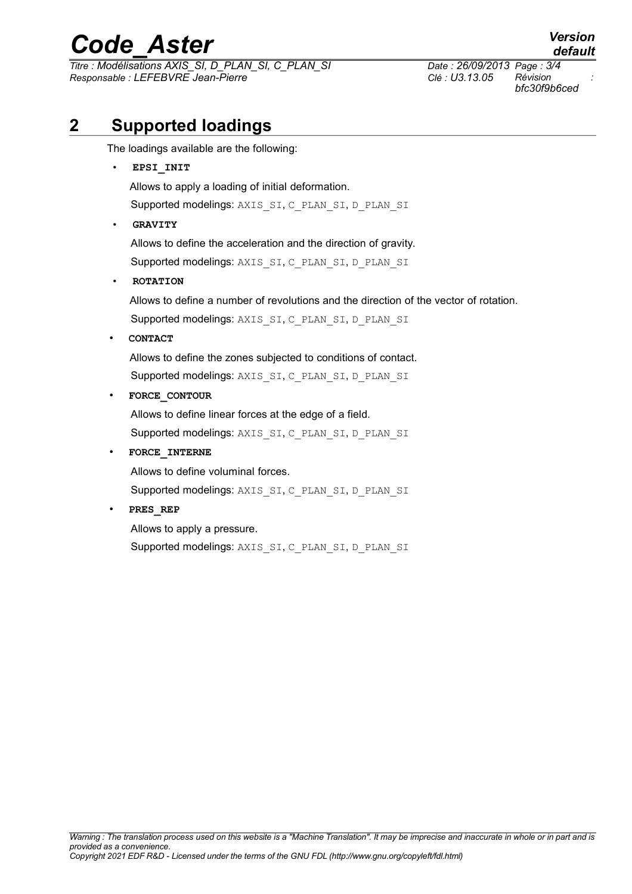# *Code\_Aster Version*

*Titre : Modélisations AXIS\_SI, D\_PLAN\_SI, C\_PLAN\_SI Date : 26/09/2013 Page : 3/4 Responsable : LEFEBVRE Jean-Pierre Clé : U3.13.05 Révision :*

*bfc30f9b6ced*

## **2 Supported loadings**

The loadings available are the following:

• **EPSI\_INIT** Allows to apply a loading of initial deformation. Supported modelings: AXIS\_SI, C\_PLAN\_SI, D\_PLAN\_SI • **GRAVITY** Allows to define the acceleration and the direction of gravity. Supported modelings: AXIS\_SI, C\_PLAN\_SI, D\_PLAN\_SI • **ROTATION** Allows to define a number of revolutions and the direction of the vector of rotation. Supported modelings: AXIS\_SI, C\_PLAN\_SI, D\_PLAN\_SI • **CONTACT** Allows to define the zones subjected to conditions of contact. Supported modelings: AXIS\_SI, C\_PLAN\_SI, D\_PLAN\_SI • **FORCE\_CONTOUR** Allows to define linear forces at the edge of a field. Supported modelings: AXIS\_SI, C\_PLAN\_SI, D\_PLAN\_SI • **FORCE\_INTERNE** Allows to define voluminal forces. Supported modelings: AXIS\_SI, C\_PLAN\_SI, D\_PLAN\_SI • **PRES\_REP** Allows to apply a pressure.

Supported modelings: AXIS\_SI, C\_PLAN\_SI, D\_PLAN\_SI